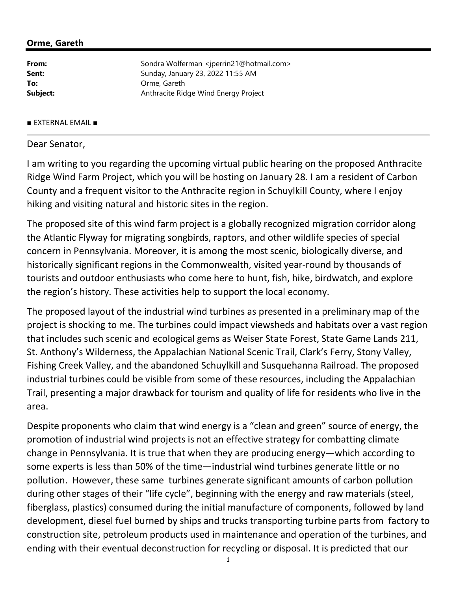## Orme, Gareth

| Sondra Wolferman <jperrin21@hotmail.com></jperrin21@hotmail.com> |
|------------------------------------------------------------------|
| Sunday, January 23, 2022 11:55 AM                                |
| Orme, Gareth                                                     |
| Anthracite Ridge Wind Energy Project                             |
|                                                                  |

## ■ EXTERNAL EMAIL ■

## Dear Senator,

I am writing to you regarding the upcoming virtual public hearing on the proposed Anthracite Ridge Wind Farm Project, which you will be hosting on January 28. I am a resident of Carbon County and a frequent visitor to the Anthracite region in Schuylkill County, where I enjoy hiking and visiting natural and historic sites in the region.

The proposed site of this wind farm project is a globally recognized migration corridor along the Atlantic Flyway for migrating songbirds, raptors, and other wildlife species of special concern in Pennsylvania. Moreover, it is among the most scenic, biologically diverse, and historically significant regions in the Commonwealth, visited year-round by thousands of tourists and outdoor enthusiasts who come here to hunt, fish, hike, birdwatch, and explore the region's history. These activities help to support the local economy.

The proposed layout of the industrial wind turbines as presented in a preliminary map of the project is shocking to me. The turbines could impact viewsheds and habitats over a vast region that includes such scenic and ecological gems as Weiser State Forest, State Game Lands 211, St. Anthony's Wilderness, the Appalachian National Scenic Trail, Clark's Ferry, Stony Valley, Fishing Creek Valley, and the abandoned Schuylkill and Susquehanna Railroad. The proposed industrial turbines could be visible from some of these resources, including the Appalachian Trail, presenting a major drawback for tourism and quality of life for residents who live in the area.

Despite proponents who claim that wind energy is a "clean and green" source of energy, the promotion of industrial wind projects is not an effective strategy for combatting climate change in Pennsylvania. It is true that when they are producing energy—which according to some experts is less than 50% of the time—industrial wind turbines generate little or no pollution. However, these same turbines generate significant amounts of carbon pollution during other stages of their "life cycle", beginning with the energy and raw materials (steel, fiberglass, plastics) consumed during the initial manufacture of components, followed by land development, diesel fuel burned by ships and trucks transporting turbine parts from factory to construction site, petroleum products used in maintenance and operation of the turbines, and ending with their eventual deconstruction for recycling or disposal. It is predicted that our